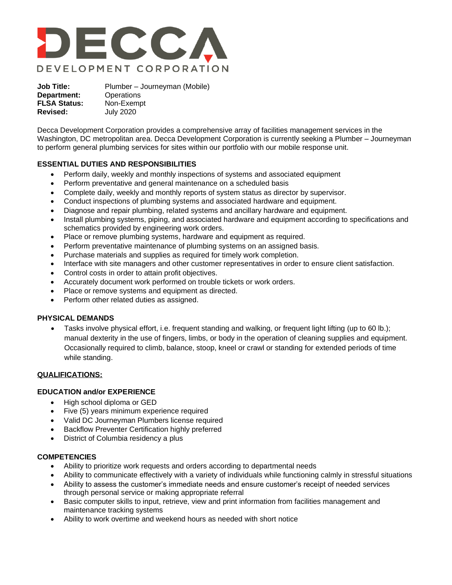

**Job Title:** Plumber – Journeyman (Mobile) **Department:** Operations **FLSA Status:** Non-Exempt **Revised:** July 2020

Decca Development Corporation provides a comprehensive array of facilities management services in the Washington, DC metropolitan area. Decca Development Corporation is currently seeking a Plumber – Journeyman to perform general plumbing services for sites within our portfolio with our mobile response unit.

# **ESSENTIAL DUTIES AND RESPONSIBILITIES**

- Perform daily, weekly and monthly inspections of systems and associated equipment
- Perform preventative and general maintenance on a scheduled basis
- Complete daily, weekly and monthly reports of system status as director by supervisor.
- Conduct inspections of plumbing systems and associated hardware and equipment.
- Diagnose and repair plumbing, related systems and ancillary hardware and equipment.
- Install plumbing systems, piping, and associated hardware and equipment according to specifications and schematics provided by engineering work orders.
- Place or remove plumbing systems, hardware and equipment as required.
- Perform preventative maintenance of plumbing systems on an assigned basis.
- Purchase materials and supplies as required for timely work completion.
- Interface with site managers and other customer representatives in order to ensure client satisfaction.
- Control costs in order to attain profit objectives.
- Accurately document work performed on trouble tickets or work orders.
- Place or remove systems and equipment as directed.
- Perform other related duties as assigned.

## **PHYSICAL DEMANDS**

• Tasks involve physical effort, i.e. frequent standing and walking, or frequent light lifting (up to 60 lb.); manual dexterity in the use of fingers, limbs, or body in the operation of cleaning supplies and equipment. Occasionally required to climb, balance, stoop, kneel or crawl or standing for extended periods of time while standing.

# **QUALIFICATIONS:**

# **EDUCATION and/or EXPERIENCE**

- High school diploma or GED
- Five (5) years minimum experience required
- Valid DC Journeyman Plumbers license required
- Backflow Preventer Certification highly preferred
- District of Columbia residency a plus

## **COMPETENCIES**

- Ability to prioritize work requests and orders according to departmental needs
- Ability to communicate effectively with a variety of individuals while functioning calmly in stressful situations
- Ability to assess the customer's immediate needs and ensure customer's receipt of needed services through personal service or making appropriate referral
- Basic computer skills to input, retrieve, view and print information from facilities management and maintenance tracking systems
- Ability to work overtime and weekend hours as needed with short notice